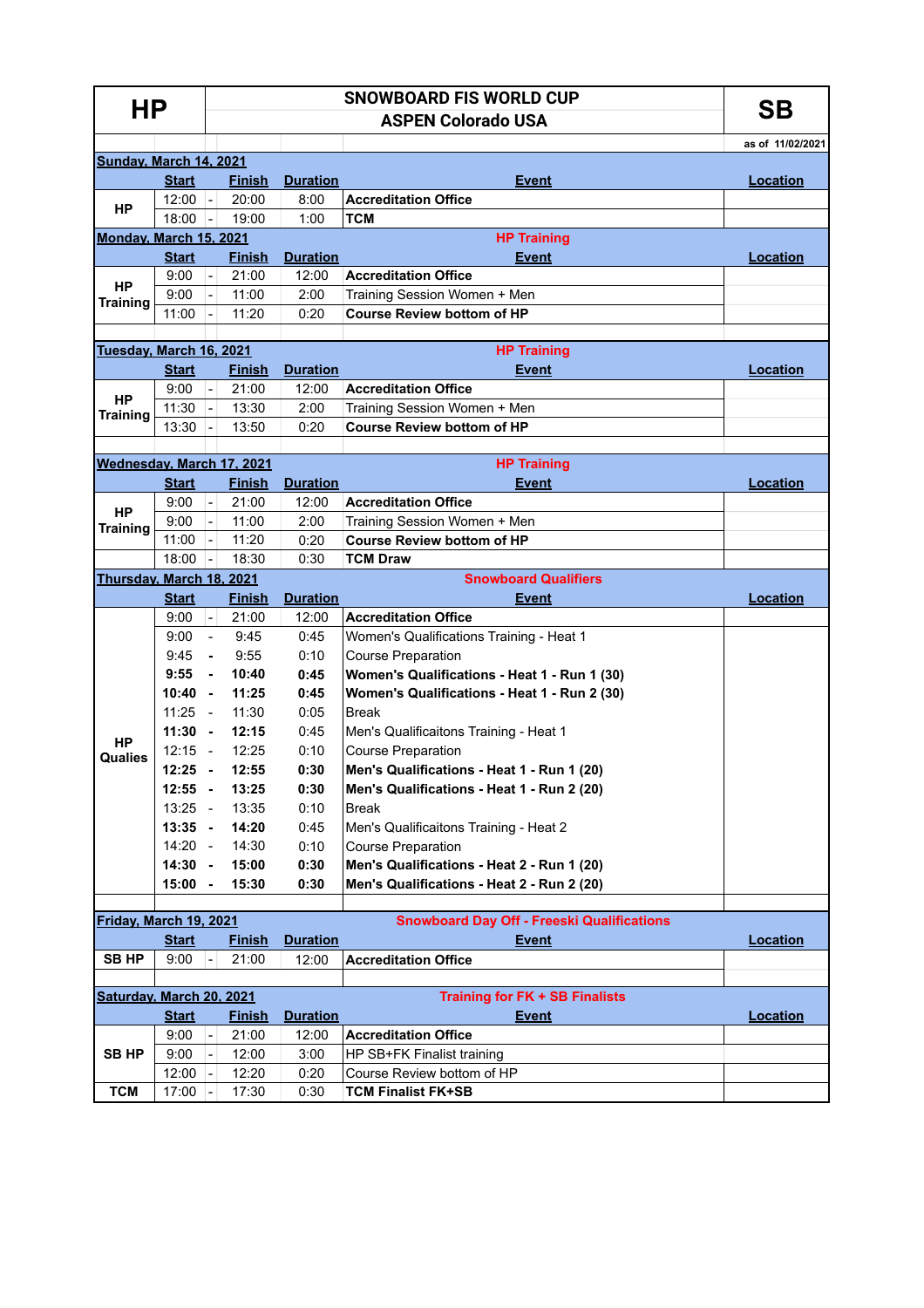| HР                           |              |                          | SΒ            |                 |                                                   |                  |  |  |  |  |  |
|------------------------------|--------------|--------------------------|---------------|-----------------|---------------------------------------------------|------------------|--|--|--|--|--|
|                              |              |                          |               |                 |                                                   |                  |  |  |  |  |  |
|                              |              |                          |               |                 |                                                   | as of 11/02/2021 |  |  |  |  |  |
| Sunday, March 14, 2021       |              |                          |               |                 |                                                   |                  |  |  |  |  |  |
| HP                           | <b>Start</b> |                          | <b>Finish</b> | <b>Duration</b> | <b>Event</b>                                      | Location         |  |  |  |  |  |
|                              | $12:00$ -    |                          | 20:00         | 8:00            | <b>Accreditation Office</b>                       |                  |  |  |  |  |  |
|                              | 18:00        | Ŀ.                       | 19:00         | 1:00            | <b>TCM</b>                                        |                  |  |  |  |  |  |
| Monday, March 15, 2021       |              |                          |               |                 | <b>HP Training</b>                                |                  |  |  |  |  |  |
| <b>HP</b><br><b>Training</b> | <b>Start</b> |                          | <b>Finish</b> | <b>Duration</b> | <b>Event</b>                                      | <b>Location</b>  |  |  |  |  |  |
|                              | 9:00         | $\overline{a}$           | 21:00         | 12:00           | <b>Accreditation Office</b>                       |                  |  |  |  |  |  |
|                              | 9:00         |                          | 11:00         | 2:00            | Training Session Women + Men                      |                  |  |  |  |  |  |
|                              | 11:00        |                          | 11:20         | 0:20            | <b>Course Review bottom of HP</b>                 |                  |  |  |  |  |  |
| Tuesday, March 16, 2021      |              |                          |               |                 |                                                   |                  |  |  |  |  |  |
|                              | <b>Start</b> |                          | <b>Finish</b> | <b>Duration</b> | <b>HP Training</b><br>Event                       | <b>Location</b>  |  |  |  |  |  |
|                              | 9:00         | $\mathbb{Z}^2$           | 21:00         | 12:00           | <b>Accreditation Office</b>                       |                  |  |  |  |  |  |
| HP                           | 11:30        |                          | 13:30         | 2:00            | Training Session Women + Men                      |                  |  |  |  |  |  |
| <b>Training</b>              | 13:30        |                          | 13:50         | 0:20            | <b>Course Review bottom of HP</b>                 |                  |  |  |  |  |  |
|                              |              |                          |               |                 |                                                   |                  |  |  |  |  |  |
| Wednesday, March 17, 2021    |              |                          |               |                 | <b>HP Training</b>                                |                  |  |  |  |  |  |
|                              | <b>Start</b> |                          | <b>Finish</b> | <b>Duration</b> | <b>Event</b>                                      | Location         |  |  |  |  |  |
| <b>HP</b><br><b>Training</b> | 9:00         | $\overline{\phantom{a}}$ | 21:00         | 12:00           | <b>Accreditation Office</b>                       |                  |  |  |  |  |  |
|                              | 9:00         | $\overline{a}$           | 11:00         | 2:00            | Training Session Women + Men                      |                  |  |  |  |  |  |
|                              | 11:00        | $\overline{a}$           | 11:20         | 0:20            | <b>Course Review bottom of HP</b>                 |                  |  |  |  |  |  |
|                              | 18:00        | $\overline{a}$           | 18:30         | 0:30            | <b>TCM Draw</b>                                   |                  |  |  |  |  |  |
| Thursday, March 18, 2021     |              |                          |               |                 | <b>Snowboard Qualifiers</b>                       |                  |  |  |  |  |  |
|                              | <b>Start</b> |                          | Finish        | <b>Duration</b> | <b>Event</b>                                      | <b>Location</b>  |  |  |  |  |  |
|                              | 9:00         | $\blacksquare$           | 21:00         | 12:00           | <b>Accreditation Office</b>                       |                  |  |  |  |  |  |
|                              | 9:00         | $\mathbf{r}$             | 9:45          | 0:45            | Women's Qualifications Training - Heat 1          |                  |  |  |  |  |  |
|                              | 9:45         | $\blacksquare$           | 9:55          | 0:10            | <b>Course Preparation</b>                         |                  |  |  |  |  |  |
|                              | 9:55         | $\blacksquare$           | 10:40         | 0:45            | Women's Qualifications - Heat 1 - Run 1 (30)      |                  |  |  |  |  |  |
|                              | 10:40        | $\sim$                   | 11:25         | 0:45            | Women's Qualifications - Heat 1 - Run 2 (30)      |                  |  |  |  |  |  |
|                              | 11:25        | $\sim$                   | 11:30         | 0:05            | <b>Break</b>                                      |                  |  |  |  |  |  |
| НP<br>Qualies                | $11:30 -$    |                          | 12:15         | 0:45            | Men's Qualificaitons Training - Heat 1            |                  |  |  |  |  |  |
|                              | $12:15 -$    |                          | 12:25         | 0:10            | <b>Course Preparation</b>                         |                  |  |  |  |  |  |
|                              | $12:25 -$    |                          | 12:55         | 0:30            | Men's Qualifications - Heat 1 - Run 1 (20)        |                  |  |  |  |  |  |
|                              | $12:55 -$    |                          | 13:25         | 0:30            | Men's Qualifications - Heat 1 - Run 2 (20)        |                  |  |  |  |  |  |
|                              | $13:25 -$    |                          | 13:35         | 0:10            | <b>Break</b>                                      |                  |  |  |  |  |  |
|                              | $13:35 -$    |                          | 14:20         | 0:45            | Men's Qualificaitons Training - Heat 2            |                  |  |  |  |  |  |
|                              | $14:20 -$    |                          | 14:30         | 0:10            | <b>Course Preparation</b>                         |                  |  |  |  |  |  |
|                              | $14:30 -$    |                          | 15:00         | 0:30            | Men's Qualifications - Heat 2 - Run 1 (20)        |                  |  |  |  |  |  |
|                              | $15:00 -$    |                          | 15:30         | 0:30            | Men's Qualifications - Heat 2 - Run 2 (20)        |                  |  |  |  |  |  |
|                              |              |                          |               |                 |                                                   |                  |  |  |  |  |  |
|                              |              |                          |               |                 |                                                   |                  |  |  |  |  |  |
| Friday, March 19, 2021       |              |                          |               |                 | <b>Snowboard Day Off - Freeski Qualifications</b> |                  |  |  |  |  |  |
|                              | <b>Start</b> |                          | <b>Finish</b> | <b>Duration</b> | <b>Event</b>                                      | Location         |  |  |  |  |  |
| SB HP                        | 9:00         |                          | 21:00         | 12:00           | <b>Accreditation Office</b>                       |                  |  |  |  |  |  |
| Saturday, March 20, 2021     |              |                          |               |                 | <b>Training for FK + SB Finalists</b>             |                  |  |  |  |  |  |
|                              | <b>Start</b> |                          | <b>Finish</b> | <b>Duration</b> | <u>Event</u>                                      | <b>Location</b>  |  |  |  |  |  |
|                              | 9:00         | $\overline{\phantom{a}}$ | 21:00         | 12:00           | <b>Accreditation Office</b>                       |                  |  |  |  |  |  |
| SB HP                        | 9:00         |                          | 12:00         | 3:00            | HP SB+FK Finalist training                        |                  |  |  |  |  |  |
|                              | 12:00        | $\blacksquare$           | 12:20         | 0:20            | Course Review bottom of HP                        |                  |  |  |  |  |  |